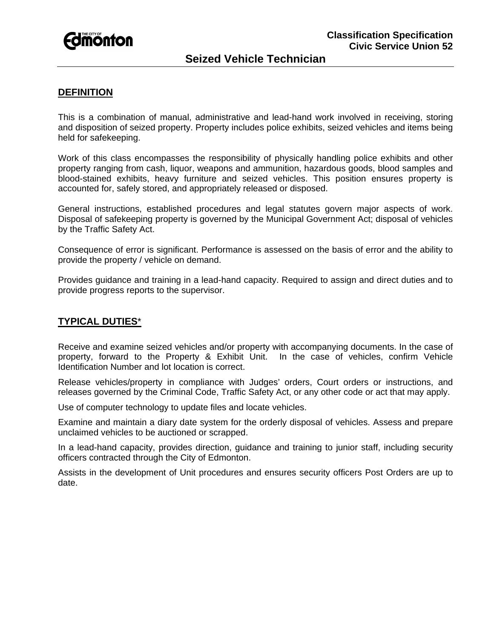

# **Seized Vehicle Technician**

### **DEFINITION**

This is a combination of manual, administrative and lead-hand work involved in receiving, storing and disposition of seized property. Property includes police exhibits, seized vehicles and items being held for safekeeping.

Work of this class encompasses the responsibility of physically handling police exhibits and other property ranging from cash, liquor, weapons and ammunition, hazardous goods, blood samples and blood-stained exhibits, heavy furniture and seized vehicles. This position ensures property is accounted for, safely stored, and appropriately released or disposed.

General instructions, established procedures and legal statutes govern major aspects of work. Disposal of safekeeping property is governed by the Municipal Government Act; disposal of vehicles by the Traffic Safety Act.

Consequence of error is significant. Performance is assessed on the basis of error and the ability to provide the property / vehicle on demand.

Provides guidance and training in a lead-hand capacity. Required to assign and direct duties and to provide progress reports to the supervisor.

## **TYPICAL DUTIES**\*

Receive and examine seized vehicles and/or property with accompanying documents. In the case of property, forward to the Property & Exhibit Unit. In the case of vehicles, confirm Vehicle Identification Number and lot location is correct.

Release vehicles/property in compliance with Judges' orders, Court orders or instructions, and releases governed by the Criminal Code, Traffic Safety Act, or any other code or act that may apply.

Use of computer technology to update files and locate vehicles.

Examine and maintain a diary date system for the orderly disposal of vehicles. Assess and prepare unclaimed vehicles to be auctioned or scrapped.

In a lead-hand capacity, provides direction, guidance and training to junior staff, including security officers contracted through the City of Edmonton.

Assists in the development of Unit procedures and ensures security officers Post Orders are up to date.